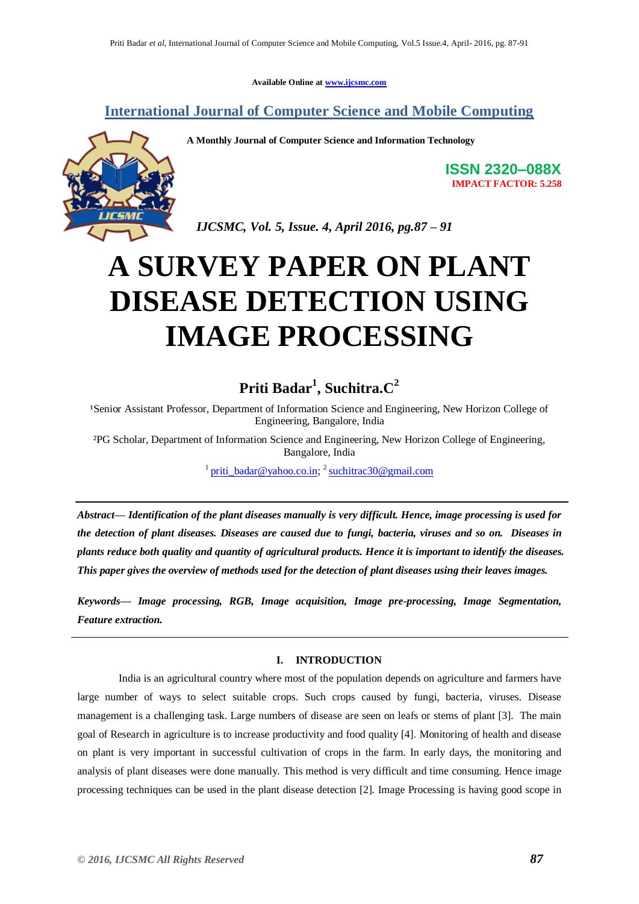**Available Online at [www.ijcsmc.com](http://www.ijcsmc.com/)**

**International Journal of Computer Science and Mobile Computing**



**A Monthly Journal of Computer Science and Information Technology**

**ISSN 2320–088X IMPACT FACTOR: 5.258**

 *IJCSMC, Vol. 5, Issue. 4, April 2016, pg.87 – 91*

# **A SURVEY PAPER ON PLANT DISEASE DETECTION USING IMAGE PROCESSING**

# **Priti Badar<sup>1</sup> , Suchitra.C<sup>2</sup>**

<sup>1</sup>Senior Assistant Professor, Department of Information Science and Engineering, New Horizon College of Engineering, Bangalore, India

²PG Scholar, Department of Information Science and Engineering, New Horizon College of Engineering, Bangalore, India

<sup>1</sup> [priti\\_badar@yahoo.co.in;](mailto:priti_badar@yahoo.co.in)<sup>2</sup> [suchitrac30@gmail.com](mailto:suchitrac30@gmail.com)

*Abstract— Identification of the plant diseases manually is very difficult. Hence, image processing is used for the detection of plant diseases. Diseases are caused due to [fungi,](https://en.wikipedia.org/wiki/Fungus) [bacteria,](https://en.wikipedia.org/wiki/Bacterium) [viruses](https://en.wikipedia.org/wiki/Plant_virus) and so on. Diseases in plants reduce both quality and quantity of agricultural products. Hence it is important to identify the diseases. This paper gives the overview of methods used for the detection of plant diseases using their leaves images.*

*Keywords— Image processing, RGB, Image acquisition, Image pre-processing, Image Segmentation, Feature extraction.* 

# **I. INTRODUCTION**

India is an agricultural country where most of the population depends on agriculture and farmers have large number of ways to select suitable crops. Such crops caused by fungi, bacteria, viruses. Disease management is a challenging task. Large numbers of disease are seen on leafs or stems of plant [3]. The main goal of Research in agriculture is to increase productivity and food quality [4]. Monitoring of health and disease on plant is very important in successful cultivation of crops in the farm. In early days, the monitoring and analysis of plant diseases were done manually. This method is very difficult and time consuming. Hence image processing techniques can be used in the plant disease detection [2]. Image Processing is having good scope in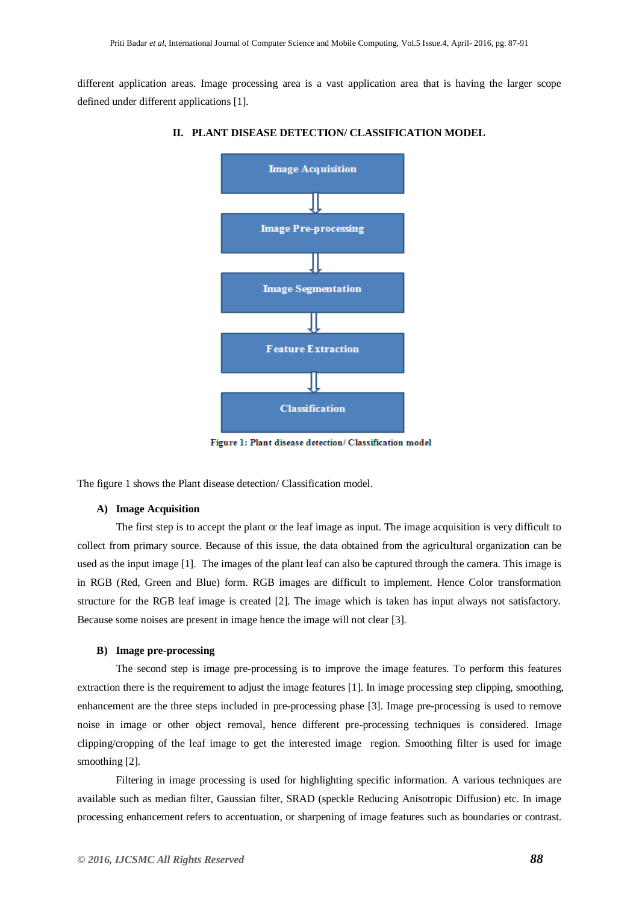different application areas. Image processing area is a vast application area that is having the larger scope defined under different applications [1].



#### **II. PLANT DISEASE DETECTION/ CLASSIFICATION MODEL**

Figure 1: Plant disease detection/ Classification model

The figure 1 shows the Plant disease detection/ Classification model.

#### **A) Image Acquisition**

The first step is to accept the plant or the leaf image as input. The image acquisition is very difficult to collect from primary source. Because of this issue, the data obtained from the agricultural organization can be used as the input image [1]. The images of the plant leaf can also be captured through the camera. This image is in RGB (Red, Green and Blue) form. RGB images are difficult to implement. Hence Color transformation structure for the RGB leaf image is created [2]. The image which is taken has input always not satisfactory. Because some noises are present in image hence the image will not clear [3].

# **B) Image pre-processing**

The second step is image pre-processing is to improve the image features. To perform this features extraction there is the requirement to adjust the image features [1]. In image processing step clipping, smoothing, enhancement are the three steps included in pre-processing phase [3]. Image pre-processing is used to remove noise in image or other object removal, hence different pre-processing techniques is considered. Image clipping/cropping of the leaf image to get the interested image region. Smoothing filter is used for image smoothing [2].

Filtering in image processing is used for highlighting specific information. A various techniques are available such as median filter, Gaussian filter, SRAD (speckle Reducing Anisotropic Diffusion) etc. In image processing enhancement refers to accentuation, or sharpening of image features such as boundaries or contrast.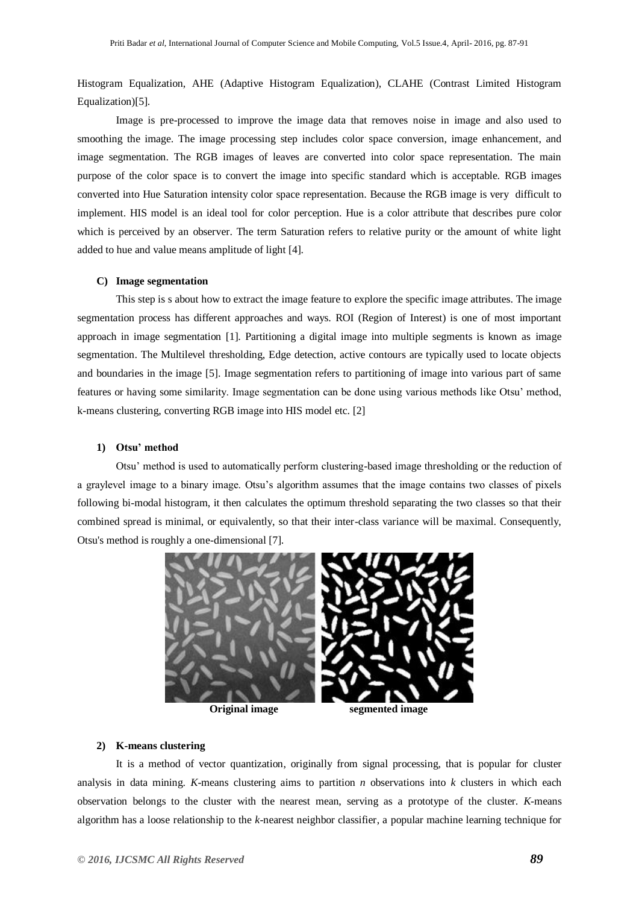Histogram Equalization, AHE (Adaptive Histogram Equalization), CLAHE (Contrast Limited Histogram Equalization)[5].

Image is pre-processed to improve the image data that removes noise in image and also used to smoothing the image. The image processing step includes color space conversion, image enhancement, and image segmentation. The RGB images of leaves are converted into color space representation. The main purpose of the color space is to convert the image into specific standard which is acceptable. RGB images converted into Hue Saturation intensity color space representation. Because the RGB image is very difficult to implement. HIS model is an ideal tool for color perception. Hue is a color attribute that describes pure color which is perceived by an observer. The term Saturation refers to relative purity or the amount of white light added to hue and value means amplitude of light [4].

# **C) Image segmentation**

This step is s about how to extract the image feature to explore the specific image attributes. The image segmentation process has different approaches and ways. ROI (Region of Interest) is one of most important approach in image segmentation [1]. Partitioning a digital image into multiple segments is known as image segmentation. The Multilevel thresholding, Edge detection, active contours are typically used to locate objects and boundaries in the image [5]. Image segmentation refers to partitioning of image into various part of same features or having some similarity. Image segmentation can be done using various methods like Otsu' method, k-means clustering, converting RGB image into HIS model etc. [2]

#### **1) Otsu' method**

Otsu' method is used to automatically perform clustering-based image [thresholding](https://en.wikipedia.org/wiki/Thresholding_%28image_processing%29) or the reduction of a graylevel image to a binary image. Otsu's algorithm assumes that the image contains two classes of pixels following bi-modal histogram, it then calculates the optimum threshold separating the two classes so that their combined spread is minimal, or equivalently, so that their inter-class variance will be maximal. Consequently, Otsu's method is roughly a one-dimensional [7].





# **2) K-means clustering**

It is a method of [vector quantization,](https://en.wikipedia.org/wiki/Vector_quantization) originally from signal processing, that is popular for [cluster](https://en.wikipedia.org/wiki/Cluster_analysis)  [analysis](https://en.wikipedia.org/wiki/Cluster_analysis) in [data mining.](https://en.wikipedia.org/wiki/Data_mining) *K-*means clustering aims to [partition](https://en.wikipedia.org/wiki/Partition_of_a_set) *n* observations into *k* clusters in which each observation belongs to the cluster with the nearest [mean,](https://en.wikipedia.org/wiki/Mean) serving as a [prototype](https://en.wikipedia.org/wiki/Prototype) of the cluster. *K*-means algorithm has a loose relationship to the *k*[-nearest neighbor classifier,](https://en.wikipedia.org/wiki/K-nearest_neighbor) a popular [machine learning](https://en.wikipedia.org/wiki/Machine_learning) technique for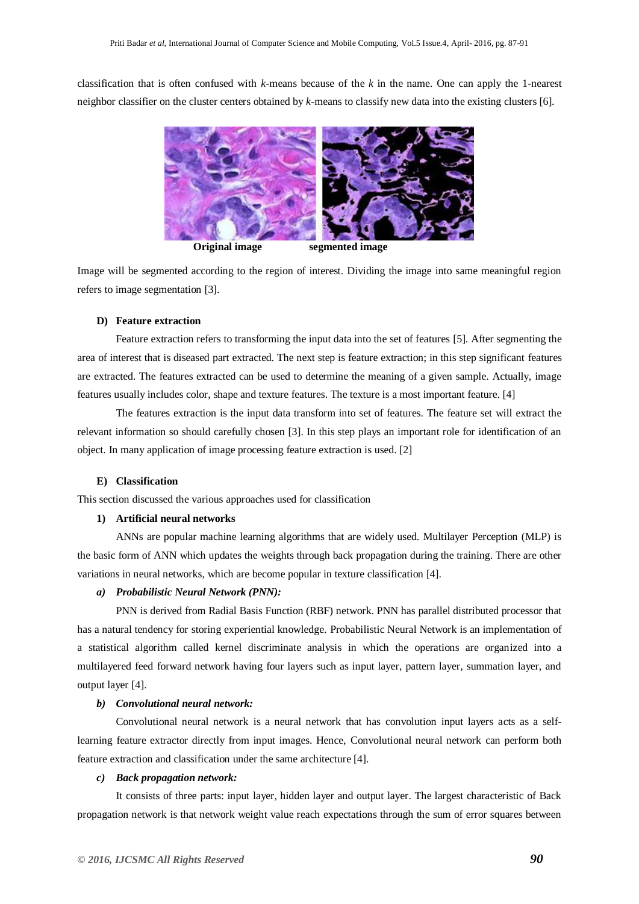classification that is often confused with *k*-means because of the *k* in the name. One can apply the 1-nearest neighbor classifier on the cluster centers obtained by *k*-means to classify new data into the existing clusters [6].



Image will be segmented according to the region of interest. Dividing the image into same meaningful region refers to image segmentation [3].

#### **D) Feature extraction**

Feature extraction refers to transforming the input data into the set of features [5]. After segmenting the area of interest that is diseased part extracted. The next step is feature extraction; in this step significant features are extracted. The features extracted can be used to determine the meaning of a given sample. Actually, image features usually includes color, shape and texture features. The texture is a most important feature. [4]

The features extraction is the input data transform into set of features. The feature set will extract the relevant information so should carefully chosen [3]. In this step plays an important role for identification of an object. In many application of image processing feature extraction is used. [2]

#### **E) Classification**

This section discussed the various approaches used for classification

#### **1) Artificial neural networks**

ANNs are popular machine learning algorithms that are widely used. Multilayer Perception (MLP) is the basic form of ANN which updates the weights through back propagation during the training. There are other variations in neural networks, which are become popular in texture classification [4].

# *a) Probabilistic Neural Network (PNN):*

PNN is derived from Radial Basis Function (RBF) network. PNN has parallel distributed processor that has a natural tendency for storing experiential knowledge. Probabilistic Neural Network is an implementation of a statistical algorithm called kernel discriminate analysis in which the operations are organized into a multilayered feed forward network having four layers such as input layer, pattern layer, summation layer, and output layer [4].

#### *b) Convolutional neural network:*

Convolutional neural network is a neural network that has convolution input layers acts as a selflearning feature extractor directly from input images. Hence, Convolutional neural network can perform both feature extraction and classification under the same architecture [4].

#### *c) Back propagation network:*

It consists of three parts: input layer, hidden layer and output layer. The largest characteristic of Back propagation network is that network weight value reach expectations through the sum of error squares between